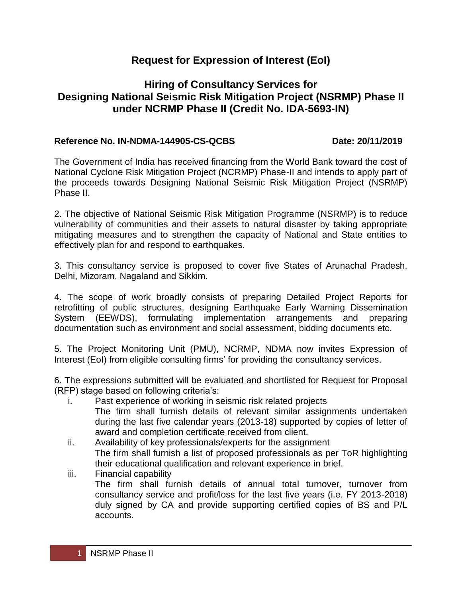# **Request for Expression of Interest (EoI)**

# **Hiring of Consultancy Services for Designing National Seismic Risk Mitigation Project (NSRMP) Phase II under NCRMP Phase II (Credit No. IDA-5693-IN)**

### **Reference No. IN-NDMA-144905-CS-QCBS Date: 20/11/2019**

The Government of India has received financing from the World Bank toward the cost of National Cyclone Risk Mitigation Project (NCRMP) Phase-II and intends to apply part of the proceeds towards Designing National Seismic Risk Mitigation Project (NSRMP) Phase II.

2. The objective of National Seismic Risk Mitigation Programme (NSRMP) is to reduce vulnerability of communities and their assets to natural disaster by taking appropriate mitigating measures and to strengthen the capacity of National and State entities to effectively plan for and respond to earthquakes.

3. This consultancy service is proposed to cover five States of Arunachal Pradesh, Delhi, Mizoram, Nagaland and Sikkim.

4. The scope of work broadly consists of preparing Detailed Project Reports for retrofitting of public structures, designing Earthquake Early Warning Dissemination System (EEWDS), formulating implementation arrangements and preparing documentation such as environment and social assessment, bidding documents etc.

5. The Project Monitoring Unit (PMU), NCRMP, NDMA now invites Expression of Interest (EoI) from eligible consulting firms' for providing the consultancy services.

6. The expressions submitted will be evaluated and shortlisted for Request for Proposal (RFP) stage based on following criteria's:

- i. Past experience of working in seismic risk related projects The firm shall furnish details of relevant similar assignments undertaken during the last five calendar years (2013-18) supported by copies of letter of award and completion certificate received from client.
- ii. Availability of key professionals/experts for the assignment The firm shall furnish a list of proposed professionals as per ToR highlighting their educational qualification and relevant experience in brief.
- iii. Financial capability The firm shall furnish details of annual total turnover, turnover from consultancy service and profit/loss for the last five years (i.e. FY 2013-2018) duly signed by CA and provide supporting certified copies of BS and P/L accounts.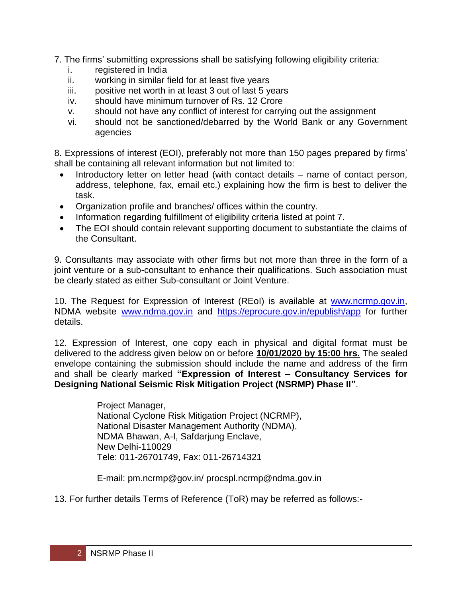- 7. The firms' submitting expressions shall be satisfying following eligibility criteria:
	- i. registered in India
	- ii. working in similar field for at least five years
	- iii. positive net worth in at least 3 out of last 5 years
	- iv. should have minimum turnover of Rs. 12 Crore
	- v. should not have any conflict of interest for carrying out the assignment
	- vi. should not be sanctioned/debarred by the World Bank or any Government agencies

8. Expressions of interest (EOI), preferably not more than 150 pages prepared by firms' shall be containing all relevant information but not limited to:

- Introductory letter on letter head (with contact details name of contact person, address, telephone, fax, email etc.) explaining how the firm is best to deliver the task.
- Organization profile and branches/ offices within the country.
- Information regarding fulfillment of eligibility criteria listed at point 7.
- The EOI should contain relevant supporting document to substantiate the claims of the Consultant.

9. Consultants may associate with other firms but not more than three in the form of a joint venture or a sub-consultant to enhance their qualifications. Such association must be clearly stated as either Sub-consultant or Joint Venture.

10. The Request for Expression of Interest (REoI) is available at [www.ncrmp.gov.in,](http://www.ncrmp.gov.in/) NDMA website [www.ndma.gov.in](http://www.ndma.gov.in/) and <https://eprocure.gov.in/epublish/app> for further details.

12. Expression of Interest, one copy each in physical and digital format must be delivered to the address given below on or before **10/01/2020 by 15:00 hrs.** The sealed envelope containing the submission should include the name and address of the firm and shall be clearly marked **"Expression of Interest – Consultancy Services for Designing National Seismic Risk Mitigation Project (NSRMP) Phase II"**.

> Project Manager, National Cyclone Risk Mitigation Project (NCRMP), National Disaster Management Authority (NDMA), NDMA Bhawan, A-I, Safdarjung Enclave, New Delhi-110029 Tele: 011-26701749, Fax: 011-26714321

E-mail: pm.ncrmp@gov.in/ procspl.ncrmp@ndma.gov.in

13. For further details Terms of Reference (ToR) may be referred as follows:-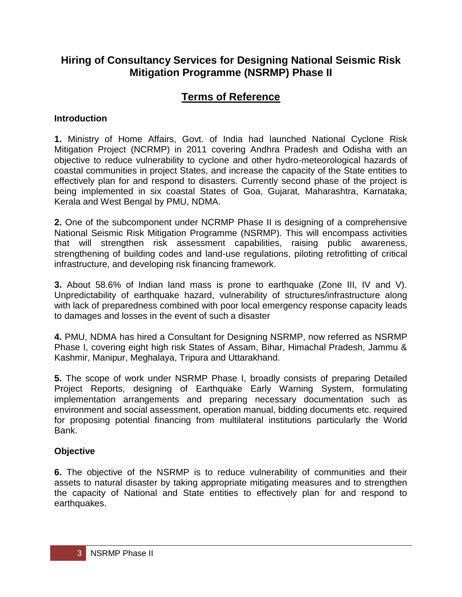# **Hiring of Consultancy Services for Designing National Seismic Risk Mitigation Programme (NSRMP) Phase II**

# **Terms of Reference**

## **Introduction**

**1.** Ministry of Home Affairs, Govt. of India had launched National Cyclone Risk Mitigation Project (NCRMP) in 2011 covering Andhra Pradesh and Odisha with an objective to reduce vulnerability to cyclone and other hydro-meteorological hazards of coastal communities in project States, and increase the capacity of the State entities to effectively plan for and respond to disasters. Currently second phase of the project is being implemented in six coastal States of Goa, Gujarat, Maharashtra, Karnataka, Kerala and West Bengal by PMU, NDMA.

**2.** One of the subcomponent under NCRMP Phase II is designing of a comprehensive National Seismic Risk Mitigation Programme (NSRMP). This will encompass activities that will strengthen risk assessment capabilities, raising public awareness, strengthening of building codes and land-use regulations, piloting retrofitting of critical infrastructure, and developing risk financing framework.

**3.** About 58.6% of Indian land mass is prone to earthquake (Zone III, IV and V). Unpredictability of earthquake hazard, vulnerability of structures/infrastructure along with lack of preparedness combined with poor local emergency response capacity leads to damages and losses in the event of such a disaster

**4.** PMU, NDMA has hired a Consultant for Designing NSRMP, now referred as NSRMP Phase I, covering eight high risk States of Assam, Bihar, Himachal Pradesh, Jammu & Kashmir, Manipur, Meghalaya, Tripura and Uttarakhand.

**5.** The scope of work under NSRMP Phase I, broadly consists of preparing Detailed Project Reports, designing of Earthquake Early Warning System, formulating implementation arrangements and preparing necessary documentation such as environment and social assessment, operation manual, bidding documents etc. required for proposing potential financing from multilateral institutions particularly the World Bank.

## **Objective**

**6.** The objective of the NSRMP is to reduce vulnerability of communities and their assets to natural disaster by taking appropriate mitigating measures and to strengthen the capacity of National and State entities to effectively plan for and respond to earthquakes.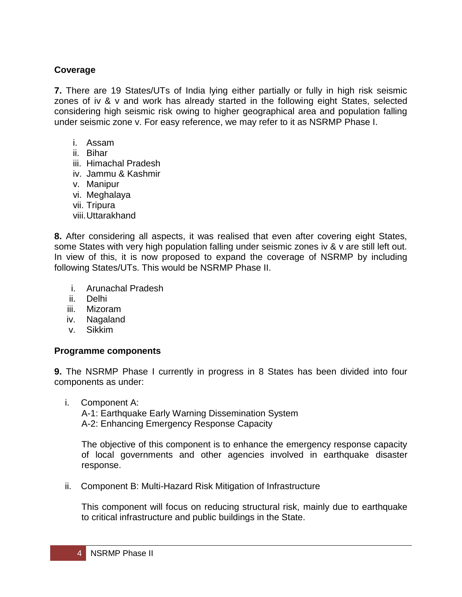## **Coverage**

**7.** There are 19 States/UTs of India lying either partially or fully in high risk seismic zones of iv & v and work has already started in the following eight States, selected considering high seismic risk owing to higher geographical area and population falling under seismic zone v. For easy reference, we may refer to it as NSRMP Phase I.

- i. Assam
- ii. Bihar
- iii. Himachal Pradesh
- iv. Jammu & Kashmir
- v. Manipur
- vi. Meghalaya
- vii. Tripura
- viii.Uttarakhand

**8.** After considering all aspects, it was realised that even after covering eight States, some States with very high population falling under seismic zones iv & v are still left out. In view of this, it is now proposed to expand the coverage of NSRMP by including following States/UTs. This would be NSRMP Phase II.

- i. Arunachal Pradesh
- ii. Delhi
- iii. Mizoram
- iv. Nagaland
- v. Sikkim

#### **Programme components**

**9.** The NSRMP Phase I currently in progress in 8 States has been divided into four components as under:

i. Component A:

A-1: Earthquake Early Warning Dissemination System A-2: Enhancing Emergency Response Capacity

The objective of this component is to enhance the emergency response capacity of local governments and other agencies involved in earthquake disaster response.

ii. Component B: Multi-Hazard Risk Mitigation of Infrastructure

This component will focus on reducing structural risk, mainly due to earthquake to critical infrastructure and public buildings in the State.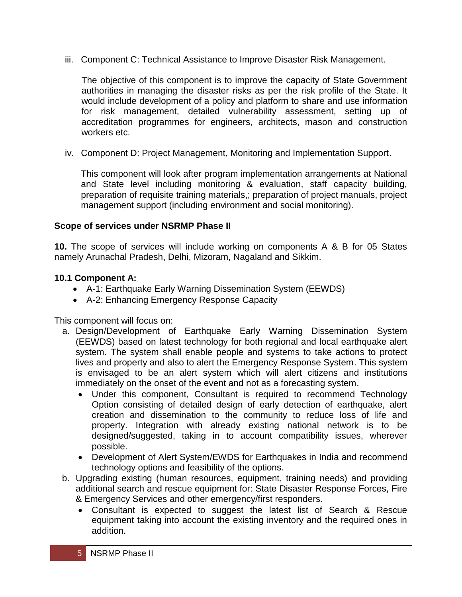iii. Component C: Technical Assistance to Improve Disaster Risk Management.

The objective of this component is to improve the capacity of State Government authorities in managing the disaster risks as per the risk profile of the State. It would include development of a policy and platform to share and use information for risk management, detailed vulnerability assessment, setting up of accreditation programmes for engineers, architects, mason and construction workers etc.

iv. Component D: Project Management, Monitoring and Implementation Support.

This component will look after program implementation arrangements at National and State level including monitoring & evaluation, staff capacity building, preparation of requisite training materials,; preparation of project manuals, project management support (including environment and social monitoring).

## **Scope of services under NSRMP Phase II**

**10.** The scope of services will include working on components A & B for 05 States namely Arunachal Pradesh, Delhi, Mizoram, Nagaland and Sikkim.

## **10.1 Component A:**

- A-1: Earthquake Early Warning Dissemination System (EEWDS)
- A-2: Enhancing Emergency Response Capacity

This component will focus on:

- a. Design/Development of Earthquake Early Warning Dissemination System (EEWDS) based on latest technology for both regional and local earthquake alert system. The system shall enable people and systems to take actions to protect lives and property and also to alert the Emergency Response System. This system is envisaged to be an alert system which will alert citizens and institutions immediately on the onset of the event and not as a forecasting system.
	- Under this component, Consultant is required to recommend Technology Option consisting of detailed design of early detection of earthquake, alert creation and dissemination to the community to reduce loss of life and property. Integration with already existing national network is to be designed/suggested, taking in to account compatibility issues, wherever possible.
	- Development of Alert System/EWDS for Earthquakes in India and recommend technology options and feasibility of the options*.*
- b. Upgrading existing (human resources, equipment, training needs) and providing additional search and rescue equipment for: State Disaster Response Forces, Fire & Emergency Services and other emergency/first responders.
	- Consultant is expected to suggest the latest list of Search & Rescue equipment taking into account the existing inventory and the required ones in addition.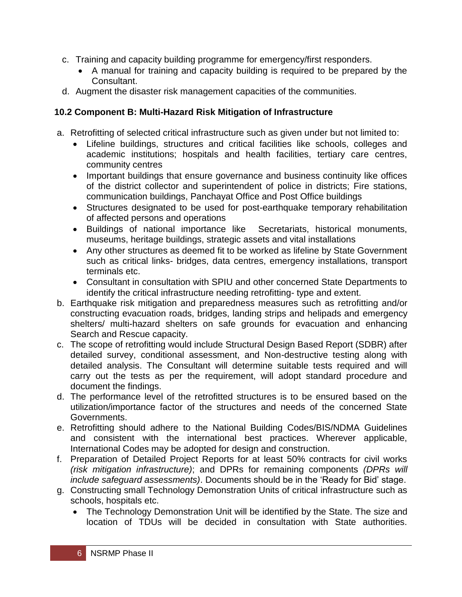- c. Training and capacity building programme for emergency/first responders.
	- A manual for training and capacity building is required to be prepared by the Consultant.
- d. Augment the disaster risk management capacities of the communities.

# **10.2 Component B: Multi-Hazard Risk Mitigation of Infrastructure**

- a. Retrofitting of selected critical infrastructure such as given under but not limited to:
	- Lifeline buildings, structures and critical facilities like schools, colleges and academic institutions; hospitals and health facilities, tertiary care centres, community centres
	- Important buildings that ensure governance and business continuity like offices of the district collector and superintendent of police in districts; Fire stations, communication buildings, Panchayat Office and Post Office buildings
	- Structures designated to be used for post-earthquake temporary rehabilitation of affected persons and operations
	- Buildings of national importance like Secretariats, historical monuments, museums, heritage buildings, strategic assets and vital installations
	- Any other structures as deemed fit to be worked as lifeline by State Government such as critical links- bridges, data centres, emergency installations, transport terminals etc.
	- Consultant in consultation with SPIU and other concerned State Departments to identify the critical infrastructure needing retrofitting- type and extent.
- b. Earthquake risk mitigation and preparedness measures such as retrofitting and/or constructing evacuation roads, bridges, landing strips and helipads and emergency shelters/ multi-hazard shelters on safe grounds for evacuation and enhancing Search and Rescue capacity.
- c. The scope of retrofitting would include Structural Design Based Report (SDBR) after detailed survey, conditional assessment, and Non-destructive testing along with detailed analysis. The Consultant will determine suitable tests required and will carry out the tests as per the requirement, will adopt standard procedure and document the findings.
- d. The performance level of the retrofitted structures is to be ensured based on the utilization/importance factor of the structures and needs of the concerned State Governments.
- e. Retrofitting should adhere to the National Building Codes/BIS/NDMA Guidelines and consistent with the international best practices. Wherever applicable, International Codes may be adopted for design and construction.
- f. Preparation of Detailed Project Reports for at least 50% contracts for civil works *(risk mitigation infrastructure)*; and DPRs for remaining components *(DPRs will include safeguard assessments)*. Documents should be in the 'Ready for Bid' stage.
- g. Constructing small Technology Demonstration Units of critical infrastructure such as schools, hospitals etc.
	- The Technology Demonstration Unit will be identified by the State. The size and location of TDUs will be decided in consultation with State authorities.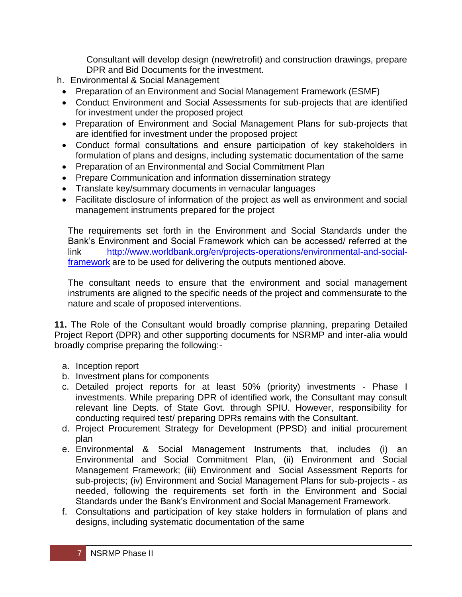Consultant will develop design (new/retrofit) and construction drawings, prepare DPR and Bid Documents for the investment.

- h. Environmental & Social Management
	- Preparation of an Environment and Social Management Framework (ESMF)
	- Conduct Environment and Social Assessments for sub-projects that are identified for investment under the proposed project
- Preparation of Environment and Social Management Plans for sub-projects that are identified for investment under the proposed project
- Conduct formal consultations and ensure participation of key stakeholders in formulation of plans and designs, including systematic documentation of the same
- Preparation of an Environmental and Social Commitment Plan
- Prepare Communication and information dissemination strategy
- Translate key/summary documents in vernacular languages
- Facilitate disclosure of information of the project as well as environment and social management instruments prepared for the project

The requirements set forth in the Environment and Social Standards under the Bank's Environment and Social Framework which can be accessed/ referred at the link [http://www.worldbank.org/en/projects-operations/environmental-and-social](http://www.worldbank.org/en/projects-operations/environmental-and-social-framework)[framework](http://www.worldbank.org/en/projects-operations/environmental-and-social-framework) are to be used for delivering the outputs mentioned above.

The consultant needs to ensure that the environment and social management instruments are aligned to the specific needs of the project and commensurate to the nature and scale of proposed interventions.

**11.** The Role of the Consultant would broadly comprise planning, preparing Detailed Project Report (DPR) and other supporting documents for NSRMP and inter-alia would broadly comprise preparing the following:-

- a. Inception report
- b. Investment plans for components
- c. Detailed project reports for at least 50% (priority) investments Phase I investments. While preparing DPR of identified work, the Consultant may consult relevant line Depts. of State Govt. through SPIU. However, responsibility for conducting required test/ preparing DPRs remains with the Consultant.
- d. Project Procurement Strategy for Development (PPSD) and initial procurement plan
- e. Environmental & Social Management Instruments that, includes (i) an Environmental and Social Commitment Plan, (ii) Environment and Social Management Framework; (iii) Environment and Social Assessment Reports for sub-projects; (iv) Environment and Social Management Plans for sub-projects - as needed, following the requirements set forth in the Environment and Social Standards under the Bank's Environment and Social Management Framework.
- f. Consultations and participation of key stake holders in formulation of plans and designs, including systematic documentation of the same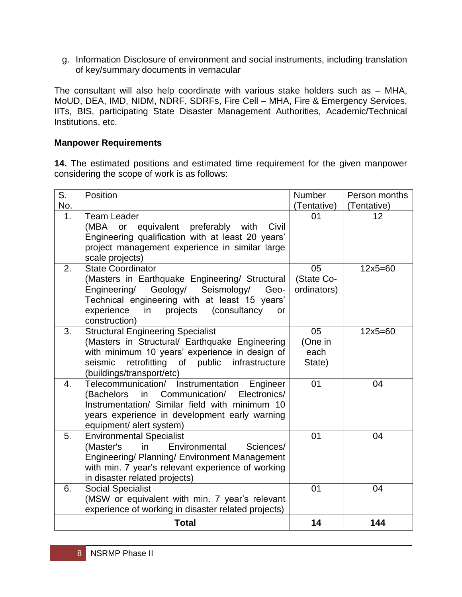g. Information Disclosure of environment and social instruments, including translation of key/summary documents in vernacular

The consultant will also help coordinate with various stake holders such as – MHA, MoUD, DEA, IMD, NIDM, NDRF, SDRFs, Fire Cell – MHA, Fire & Emergency Services, IITs, BIS, participating State Disaster Management Authorities, Academic/Technical Institutions, etc.

## **Manpower Requirements**

**14.** The estimated positions and estimated time requirement for the given manpower considering the scope of work is as follows:

| S.  | Position                                                                                          | <b>Number</b>             | Person months |
|-----|---------------------------------------------------------------------------------------------------|---------------------------|---------------|
| No. |                                                                                                   | (Tentative)               | (Tentative)   |
| 1.  | <b>Team Leader</b>                                                                                | 01                        | 12            |
|     | equivalent<br>preferably<br>(MBA<br>with<br>Civil<br>or                                           |                           |               |
|     | Engineering qualification with at least 20 years'                                                 |                           |               |
|     | project management experience in similar large                                                    |                           |               |
|     | scale projects)                                                                                   |                           |               |
| 2.  | <b>State Coordinator</b>                                                                          | 05                        | $12x5 = 60$   |
|     | (Masters in Earthquake Engineering/ Structural<br>Geology/<br>Seismology/<br>Engineering/<br>Geo- | (State Co-<br>ordinators) |               |
|     | Technical engineering with at least 15 years'                                                     |                           |               |
|     | experience<br>projects<br>(consultancy<br>in<br>or                                                |                           |               |
|     | construction)                                                                                     |                           |               |
| 3.  | <b>Structural Engineering Specialist</b>                                                          | 05                        | $12x5 = 60$   |
|     | (Masters in Structural/ Earthquake Engineering                                                    | (One in                   |               |
|     | with minimum 10 years' experience in design of                                                    | each                      |               |
|     | retrofitting of<br>public<br>infrastructure<br>seismic                                            | State)                    |               |
|     | (buildings/transport/etc)                                                                         |                           |               |
| 4.  | Telecommunication/ Instrumentation<br>Engineer                                                    | 01                        | 04            |
|     | Communication/<br>Electronics/<br>(Bachelors in                                                   |                           |               |
|     | Instrumentation/ Similar field with minimum 10                                                    |                           |               |
|     | years experience in development early warning                                                     |                           |               |
| 5.  | equipment/ alert system)                                                                          | 01                        | 04            |
|     | <b>Environmental Specialist</b><br>(Master's<br>Environmental<br>Sciences/<br>in.                 |                           |               |
|     | Engineering/ Planning/ Environment Management                                                     |                           |               |
|     | with min. 7 year's relevant experience of working                                                 |                           |               |
|     | in disaster related projects)                                                                     |                           |               |
| 6.  | <b>Social Specialist</b>                                                                          | 01                        | 04            |
|     | (MSW or equivalent with min. 7 year's relevant                                                    |                           |               |
|     | experience of working in disaster related projects)                                               |                           |               |
|     | <b>Total</b>                                                                                      | 14                        | 144           |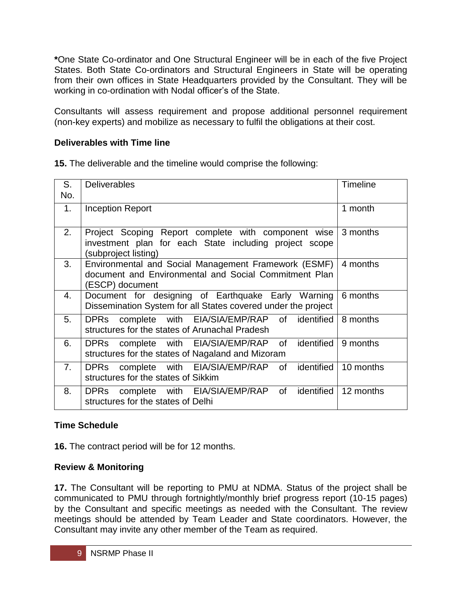**\***One State Co-ordinator and One Structural Engineer will be in each of the five Project States. Both State Co-ordinators and Structural Engineers in State will be operating from their own offices in State Headquarters provided by the Consultant. They will be working in co-ordination with Nodal officer's of the State.

Consultants will assess requirement and propose additional personnel requirement (non-key experts) and mobilize as necessary to fulfil the obligations at their cost.

## **Deliverables with Time line**

**15.** The deliverable and the timeline would comprise the following:

| S.<br>No. | <b>Deliverables</b>                                                                                                                   | <b>Timeline</b> |
|-----------|---------------------------------------------------------------------------------------------------------------------------------------|-----------------|
| 1.        | <b>Inception Report</b>                                                                                                               | 1 month         |
| 2.        | Project Scoping Report complete with component wise<br>investment plan for each State including project scope<br>(subproject listing) | 3 months        |
| 3.        | Environmental and Social Management Framework (ESMF)<br>document and Environmental and Social Commitment Plan<br>(ESCP) document      | 4 months        |
| 4.        | Document for designing of Earthquake Early Warning<br>Dissemination System for all States covered under the project                   | 6 months        |
| 5.        | complete with EIA/SIA/EMP/RAP of<br>identified<br><b>DPRs</b><br>structures for the states of Arunachal Pradesh                       | 8 months        |
| 6.        | identified  <br>complete with EIA/SIA/EMP/RAP<br>of<br><b>DPRs</b><br>structures for the states of Nagaland and Mizoram               | 9 months        |
| 7.        | of identified<br>complete with EIA/SIA/EMP/RAP<br><b>DPRS</b><br>structures for the states of Sikkim                                  | 10 months       |
| 8.        | identified  <br>complete with EIA/SIA/EMP/RAP<br>of<br><b>DPRs</b><br>structures for the states of Delhi                              | 12 months       |

## **Time Schedule**

**16.** The contract period will be for 12 months.

## **Review & Monitoring**

**17.** The Consultant will be reporting to PMU at NDMA. Status of the project shall be communicated to PMU through fortnightly/monthly brief progress report (10-15 pages) by the Consultant and specific meetings as needed with the Consultant. The review meetings should be attended by Team Leader and State coordinators. However, the Consultant may invite any other member of the Team as required.